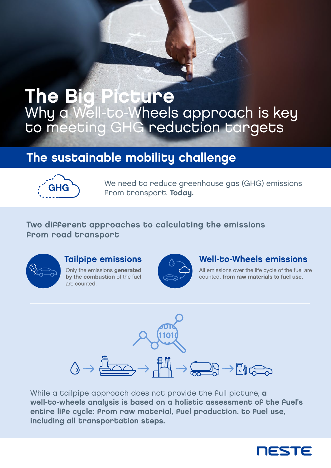# The Big Picture Why a Well-to-Wheels approach is key to meeting GHG reduction targets

# The sustainable mobility challenge



We need to reduce greenhouse gas (GHG) emissions from transport. Today.

#### Two different approaches to calculating the emissions from road transport



#### Tailpipe emissions

Only the emissions generated by the combustion of the fuel are counted.



#### Well-to-Wheels emissions

All emissions over the life cycle of the fuel are counted, from raw materials to fuel use.



While a tailpipe approach does not provide the full picture, a well-to-wheels analysis is based on a holistic assessment of the fuel's entire life cycle: from raw material, fuel production, to fuel use, including all transportation steps.

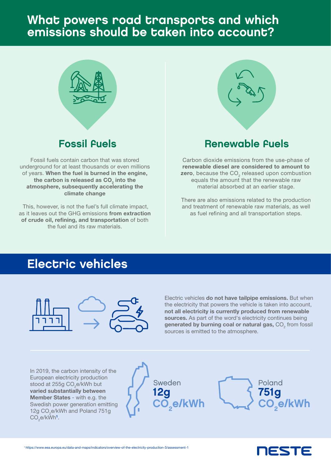### What powers road transports and which emissions should be taken into account?



#### Fossil fuels

Fossil fuels contain carbon that was stored underground for at least thousands or even millions of years. When the fuel is burned in the engine, the carbon is released as  $\mathsf{CO}_2^{}$  into the atmosphere, subsequently accelerating the climate change

 This, however, is not the fuel's full climate impact, as it leaves out the GHG emissions from extraction of crude oil, refining, and transportation of both the fuel and its raw materials.



#### Renewable fuels

Carbon dioxide emissions from the use-phase of renewable diesel are considered to amount to zero, because the CO<sub>2</sub> released upon combustion equals the amount that the renewable raw material absorbed at an earlier stage.

There are also emissions related to the production and treatment of renewable raw materials, as well as fuel refining and all transportation steps.

## Electric vehicles



Electric vehicles do not have tailpipe emissions. But when the electricity that powers the vehicle is taken into account, not all electricity is currently produced from renewable sources. As part of the word's electricity continues being generated by burning coal or natural gas,  $\mathrm{CO}_2$  from fossil sources is emitted to the atmosphere.

In 2019, the carbon intensity of the European electricity production stood at 255g CO $_{\textrm{\tiny{2}}}$ e/kWh but varied substantially between Member States - with e.g. the Swedish power generation emitting 12g CO<sub>2</sub>e/kWh and Poland 751g  $\mathsf{CO}_{_2}$ e/kWh $^{\mathsf{1}}$ .





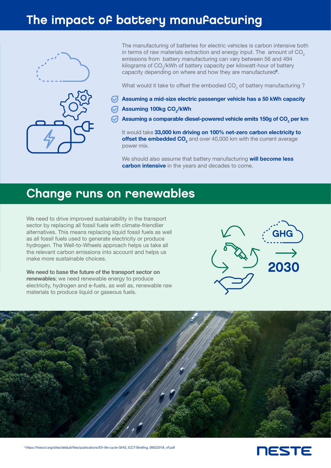## The impact of battery manufacturing



The manufacturing of batteries for electric vehicles is carbon intensive both in terms of raw materials extraction and energy input. The amount of  $CO<sub>2</sub>$ emissions from battery manufacturing can vary between 56 and 494 kilograms of CO<sub>2</sub>/kWh of battery capacity per kilowatt-hour of battery capacity depending on where and how they are manufactured<sup>2</sup>.

What would it take to offset the embodied CO<sub>2</sub> of battery manufacturing ?

- $\bigotimes$  Assuming a mid-size electric passenger vehicle has a 50 kWh capacity
- Assuming 100kg CO $_{\rm 2}$ /kWh
- Assuming a comparable diesel-powered vehicle emits 150g of CO $_{\textrm{\tiny{2}}}$  per km

It would take 33,000 km driving on 100% net-zero carbon electricity to offset the embedded CO<sub>2</sub> and over 40,000 km with the current average power mix.

We should also assume that battery manufacturing will become less carbon intensive in the years and decades to come.

### Change runs on renewables

We need to drive improved sustainability in the transport sector by replacing all fossil fuels with climate-friendlier alternatives. This means replacing liquid fossil fuels as well as all fossil fuels used to generate electricity or produce hydrogen. The Well-to-Wheels approach helps us take all the relevant carbon emissions into account and helps us make more sustainable choices.

We need to base the future of the transport sector on renewables; we need renewable energy to produce electricity, hydrogen and e-fuels, as well as, renewable raw materials to produce liquid or gaseous fuels.





<sup>2</sup> https://theicct.org/sites/default/files/publications/EV-life-cycle-GHG\_ICCT-Briefing\_09022018\_vF.pdf

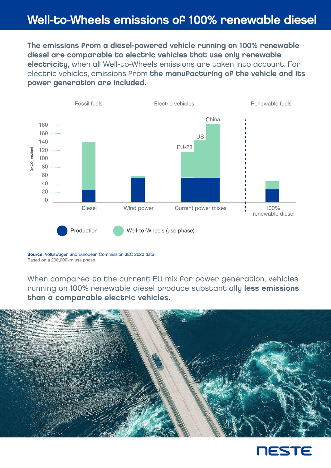## Well-to-Wheels emissions of 100% renewable diesel

The emissions from a diesel-powered vehicle running on 100% renewable diesel are comparable to electric vehicles that use only renewable electricity, when all Well-to-Wheels emissions are taken into account. For electric vehicles, emissions from the manufacturing of the vehicle and its power generation are included.



Source: Volkswagen and European Commission JEC 2020 data Based on a 200,000km use phase.

When compared to the current EU mix for power generation, vehicles running on 100% renewable diesel produce substantially less emissions than a comparable electric vehicles.